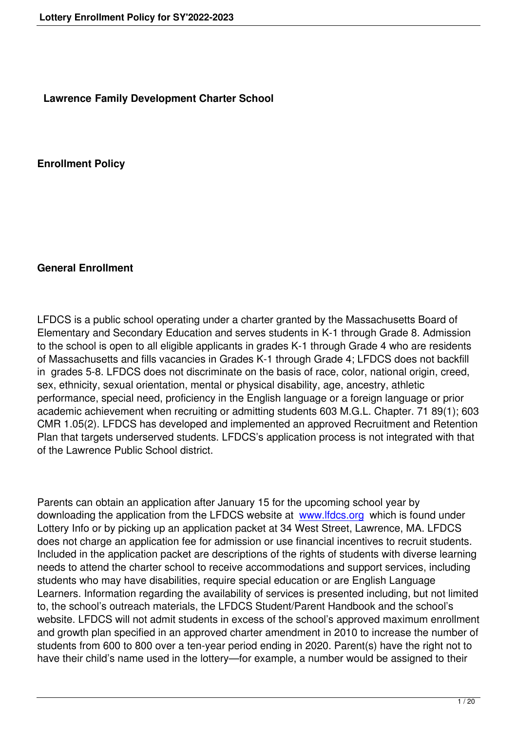**Lawrence Family Development Charter School**

**Enrollment Policy**

#### **General Enrollment**

LFDCS is a public school operating under a charter granted by the Massachusetts Board of Elementary and Secondary Education and serves students in K-1 through Grade 8. Admission to the school is open to all eligible applicants in grades K-1 through Grade 4 who are residents of Massachusetts and fills vacancies in Grades K-1 through Grade 4; LFDCS does not backfill in grades 5-8. LFDCS does not discriminate on the basis of race, color, national origin, creed, sex, ethnicity, sexual orientation, mental or physical disability, age, ancestry, athletic performance, special need, proficiency in the English language or a foreign language or prior academic achievement when recruiting or admitting students 603 M.G.L. Chapter. 71 89(1); 603 CMR 1.05(2). LFDCS has developed and implemented an approved Recruitment and Retention Plan that targets underserved students. LFDCS's application process is not integrated with that of the Lawrence Public School district.

Parents can obtain an application after January 15 for the upcoming school year by downloading the application from the LFDCS website at www.lfdcs.org which is found under Lottery Info or by picking up an application packet at 34 West Street, Lawrence, MA. LFDCS does not charge an application fee for admission or use financial incentives to recruit students. Included in the application packet are descriptions of the [rights of stude](http://www.lfdcs.org/)nts with diverse learning needs to attend the charter school to receive accommodations and support services, including students who may have disabilities, require special education or are English Language Learners. Information regarding the availability of services is presented including, but not limited to, the school's outreach materials, the LFDCS Student/Parent Handbook and the school's website. LFDCS will not admit students in excess of the school's approved maximum enrollment and growth plan specified in an approved charter amendment in 2010 to increase the number of students from 600 to 800 over a ten-year period ending in 2020. Parent(s) have the right not to have their child's name used in the lottery—for example, a number would be assigned to their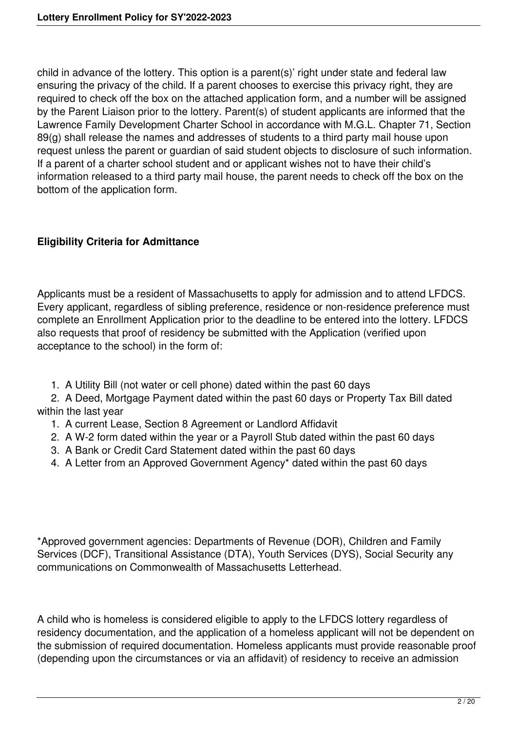child in advance of the lottery. This option is a parent(s)' right under state and federal law ensuring the privacy of the child. If a parent chooses to exercise this privacy right, they are required to check off the box on the attached application form, and a number will be assigned by the Parent Liaison prior to the lottery. Parent(s) of student applicants are informed that the Lawrence Family Development Charter School in accordance with M.G.L. Chapter 71, Section 89(g) shall release the names and addresses of students to a third party mail house upon request unless the parent or guardian of said student objects to disclosure of such information. If a parent of a charter school student and or applicant wishes not to have their child's information released to a third party mail house, the parent needs to check off the box on the bottom of the application form.

## **Eligibility Criteria for Admittance**

Applicants must be a resident of Massachusetts to apply for admission and to attend LFDCS. Every applicant, regardless of sibling preference, residence or non-residence preference must complete an Enrollment Application prior to the deadline to be entered into the lottery. LFDCS also requests that proof of residency be submitted with the Application (verified upon acceptance to the school) in the form of:

1. A Utility Bill (not water or cell phone) dated within the past 60 days

 2. A Deed, Mortgage Payment dated within the past 60 days or Property Tax Bill dated within the last year

- 1. A current Lease, Section 8 Agreement or Landlord Affidavit
- 2. A W-2 form dated within the year or a Payroll Stub dated within the past 60 days
- 3. A Bank or Credit Card Statement dated within the past 60 days
- 4. A Letter from an Approved Government Agency\* dated within the past 60 days

\*Approved government agencies: Departments of Revenue (DOR), Children and Family Services (DCF), Transitional Assistance (DTA), Youth Services (DYS), Social Security any communications on Commonwealth of Massachusetts Letterhead.

A child who is homeless is considered eligible to apply to the LFDCS lottery regardless of residency documentation, and the application of a homeless applicant will not be dependent on the submission of required documentation. Homeless applicants must provide reasonable proof (depending upon the circumstances or via an affidavit) of residency to receive an admission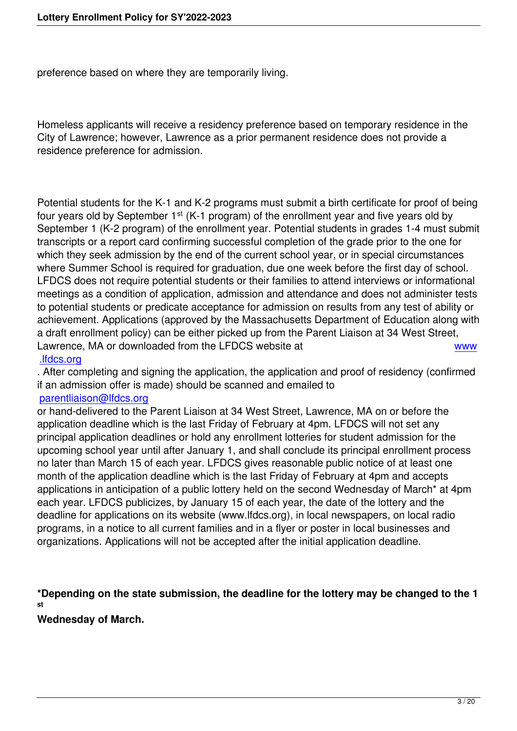preference based on where they are temporarily living.

Homeless applicants will receive a residency preference based on temporary residence in the City of Lawrence; however, Lawrence as a prior permanent residence does not provide a residence preference for admission.

Potential students for the K-1 and K-2 programs must submit a birth certificate for proof of being four years old by September  $1<sup>st</sup>$  (K-1 program) of the enrollment year and five years old by September 1 (K-2 program) of the enrollment year. Potential students in grades 1-4 must submit transcripts or a report card confirming successful completion of the grade prior to the one for which they seek admission by the end of the current school year, or in special circumstances where Summer School is required for graduation, due one week before the first day of school. LFDCS does not require potential students or their families to attend interviews or informational meetings as a condition of application, admission and attendance and does not administer tests to potential students or predicate acceptance for admission on results from any test of ability or achievement. Applications (approved by the Massachusetts Department of Education along with a draft enrollment policy) can be either picked up from the Parent Liaison at 34 West Street, Lawrence, MA or downloaded from the LFDCS website at www .lfdcs.org

. After completing and signing the application, the application and proof of residency (confirmed if an admission offer is made) should be scanned and emailed to

#### [parentliai](http://www.lfdcs.org/)son@lfdcs.org

or hand-delivered to the Parent Liaison at 34 West Street, Lawrence, MA on or before the application deadline which is the last Friday of February at 4pm. LFDCS will not set any [principal application dea](mailto:parentliaison@lfdcs.org)dlines or hold any enrollment lotteries for student admission for the upcoming school year until after January 1, and shall conclude its principal enrollment process no later than March 15 of each year. LFDCS gives reasonable public notice of at least one month of the application deadline which is the last Friday of February at 4pm and accepts applications in anticipation of a public lottery held on the second Wednesday of March\* at 4pm each year. LFDCS publicizes, by January 15 of each year, the date of the lottery and the deadline for applications on its website (www.lfdcs.org), in local newspapers, on local radio programs, in a notice to all current families and in a flyer or poster in local businesses and organizations. Applications will not be accepted after the initial application deadline.

**\*Depending on the state submission, the deadline for the lottery may be changed to the 1 st**

**Wednesday of March.**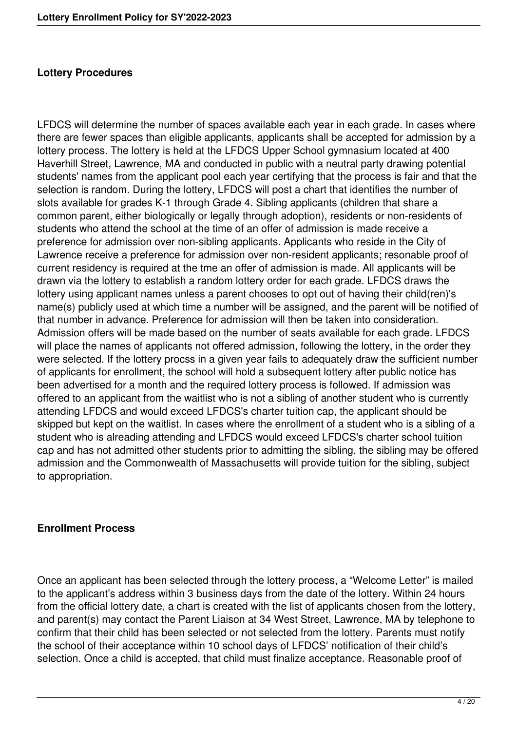#### **Lottery Procedures**

LFDCS will determine the number of spaces available each year in each grade. In cases where there are fewer spaces than eligible applicants, applicants shall be accepted for admission by a lottery process. The lottery is held at the LFDCS Upper School gymnasium located at 400 Haverhill Street, Lawrence, MA and conducted in public with a neutral party drawing potential students' names from the applicant pool each year certifying that the process is fair and that the selection is random. During the lottery, LFDCS will post a chart that identifies the number of slots available for grades K-1 through Grade 4. Sibling applicants (children that share a common parent, either biologically or legally through adoption), residents or non-residents of students who attend the school at the time of an offer of admission is made receive a preference for admission over non-sibling applicants. Applicants who reside in the City of Lawrence receive a preference for admission over non-resident applicants; resonable proof of current residency is required at the tme an offer of admission is made. All applicants will be drawn via the lottery to establish a random lottery order for each grade. LFDCS draws the lottery using applicant names unless a parent chooses to opt out of having their child(ren)'s name(s) publicly used at which time a number will be assigned, and the parent will be notified of that number in advance. Preference for admission will then be taken into consideration. Admission offers will be made based on the number of seats available for each grade. LFDCS will place the names of applicants not offered admission, following the lottery, in the order they were selected. If the lottery procss in a given year fails to adequately draw the sufficient number of applicants for enrollment, the school will hold a subsequent lottery after public notice has been advertised for a month and the required lottery process is followed. If admission was offered to an applicant from the waitlist who is not a sibling of another student who is currently attending LFDCS and would exceed LFDCS's charter tuition cap, the applicant should be skipped but kept on the waitlist. In cases where the enrollment of a student who is a sibling of a student who is alreading attending and LFDCS would exceed LFDCS's charter school tuition cap and has not admitted other students prior to admitting the sibling, the sibling may be offered admission and the Commonwealth of Massachusetts will provide tuition for the sibling, subject to appropriation.

#### **Enrollment Process**

Once an applicant has been selected through the lottery process, a "Welcome Letter" is mailed to the applicant's address within 3 business days from the date of the lottery. Within 24 hours from the official lottery date, a chart is created with the list of applicants chosen from the lottery, and parent(s) may contact the Parent Liaison at 34 West Street, Lawrence, MA by telephone to confirm that their child has been selected or not selected from the lottery. Parents must notify the school of their acceptance within 10 school days of LFDCS' notification of their child's selection. Once a child is accepted, that child must finalize acceptance. Reasonable proof of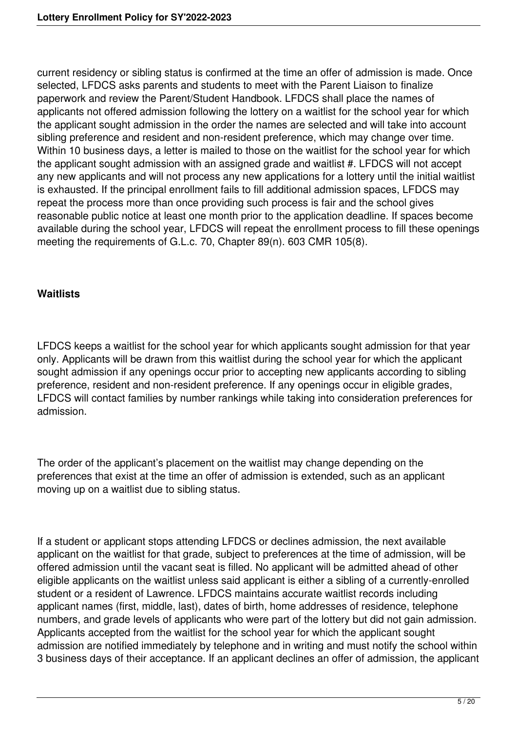current residency or sibling status is confirmed at the time an offer of admission is made. Once selected, LFDCS asks parents and students to meet with the Parent Liaison to finalize paperwork and review the Parent/Student Handbook. LFDCS shall place the names of applicants not offered admission following the lottery on a waitlist for the school year for which the applicant sought admission in the order the names are selected and will take into account sibling preference and resident and non-resident preference, which may change over time. Within 10 business days, a letter is mailed to those on the waitlist for the school year for which the applicant sought admission with an assigned grade and waitlist #. LFDCS will not accept any new applicants and will not process any new applications for a lottery until the initial waitlist is exhausted. If the principal enrollment fails to fill additional admission spaces, LFDCS may repeat the process more than once providing such process is fair and the school gives reasonable public notice at least one month prior to the application deadline. If spaces become available during the school year, LFDCS will repeat the enrollment process to fill these openings meeting the requirements of G.L.c. 70, Chapter 89(n). 603 CMR 105(8).

#### **Waitlists**

LFDCS keeps a waitlist for the school year for which applicants sought admission for that year only. Applicants will be drawn from this waitlist during the school year for which the applicant sought admission if any openings occur prior to accepting new applicants according to sibling preference, resident and non-resident preference. If any openings occur in eligible grades, LFDCS will contact families by number rankings while taking into consideration preferences for admission.

The order of the applicant's placement on the waitlist may change depending on the preferences that exist at the time an offer of admission is extended, such as an applicant moving up on a waitlist due to sibling status.

If a student or applicant stops attending LFDCS or declines admission, the next available applicant on the waitlist for that grade, subject to preferences at the time of admission, will be offered admission until the vacant seat is filled. No applicant will be admitted ahead of other eligible applicants on the waitlist unless said applicant is either a sibling of a currently-enrolled student or a resident of Lawrence. LFDCS maintains accurate waitlist records including applicant names (first, middle, last), dates of birth, home addresses of residence, telephone numbers, and grade levels of applicants who were part of the lottery but did not gain admission. Applicants accepted from the waitlist for the school year for which the applicant sought admission are notified immediately by telephone and in writing and must notify the school within 3 business days of their acceptance. If an applicant declines an offer of admission, the applicant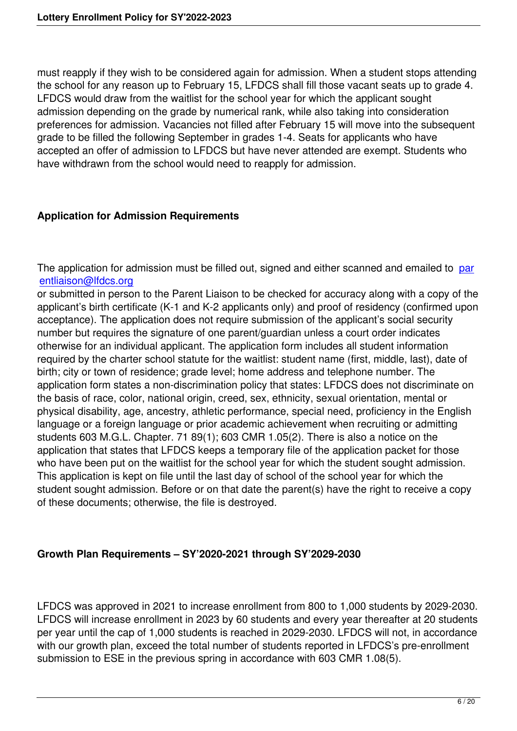must reapply if they wish to be considered again for admission. When a student stops attending the school for any reason up to February 15, LFDCS shall fill those vacant seats up to grade 4. LFDCS would draw from the waitlist for the school year for which the applicant sought admission depending on the grade by numerical rank, while also taking into consideration preferences for admission. Vacancies not filled after February 15 will move into the subsequent grade to be filled the following September in grades 1-4. Seats for applicants who have accepted an offer of admission to LFDCS but have never attended are exempt. Students who have withdrawn from the school would need to reapply for admission.

#### **Application for Admission Requirements**

The application for admission must be filled out, signed and either scanned and emailed to par entliaison@lfdcs.org

or submitted in person to the Parent Liaison to be checked for accuracy along with a copy of the applicant's birth certificate (K-1 and K-2 applicants only) and proof of residency (confirmed [upon](mailto:parentliaison@lfdcs.org) [acceptance\). The app](mailto:parentliaison@lfdcs.org)lication does not require submission of the applicant's social security number but requires the signature of one parent/guardian unless a court order indicates otherwise for an individual applicant. The application form includes all student information required by the charter school statute for the waitlist: student name (first, middle, last), date of birth; city or town of residence; grade level; home address and telephone number. The application form states a non-discrimination policy that states: LFDCS does not discriminate on the basis of race, color, national origin, creed, sex, ethnicity, sexual orientation, mental or physical disability, age, ancestry, athletic performance, special need, proficiency in the English language or a foreign language or prior academic achievement when recruiting or admitting students 603 M.G.L. Chapter. 71 89(1); 603 CMR 1.05(2). There is also a notice on the application that states that LFDCS keeps a temporary file of the application packet for those who have been put on the waitlist for the school year for which the student sought admission. This application is kept on file until the last day of school of the school year for which the student sought admission. Before or on that date the parent(s) have the right to receive a copy of these documents; otherwise, the file is destroyed.

### **Growth Plan Requirements – SY'2020-2021 through SY'2029-2030**

LFDCS was approved in 2021 to increase enrollment from 800 to 1,000 students by 2029-2030. LFDCS will increase enrollment in 2023 by 60 students and every year thereafter at 20 students per year until the cap of 1,000 students is reached in 2029-2030. LFDCS will not, in accordance with our growth plan, exceed the total number of students reported in LFDCS's pre-enrollment submission to ESE in the previous spring in accordance with 603 CMR 1.08(5).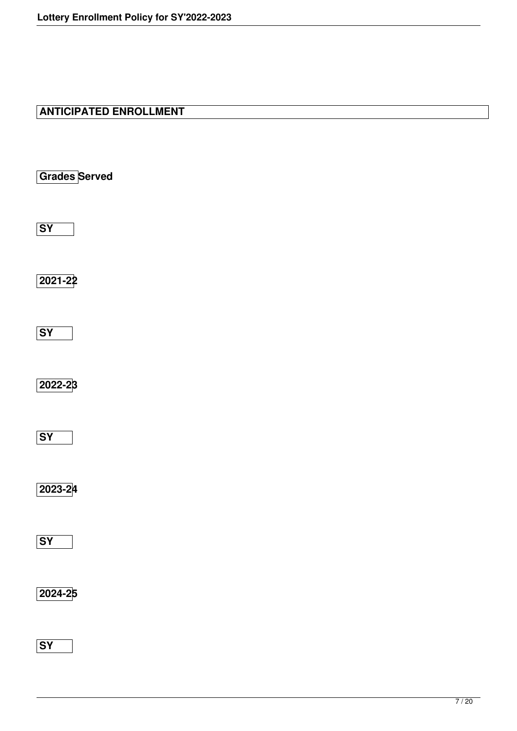# **ANTICIPATED ENROLLMENT**

**Grades Served**

**SY**

**2021-22**

**SY**

**2022-23**

**SY**

**2023-24**

**SY**

**2024-25**

**SY**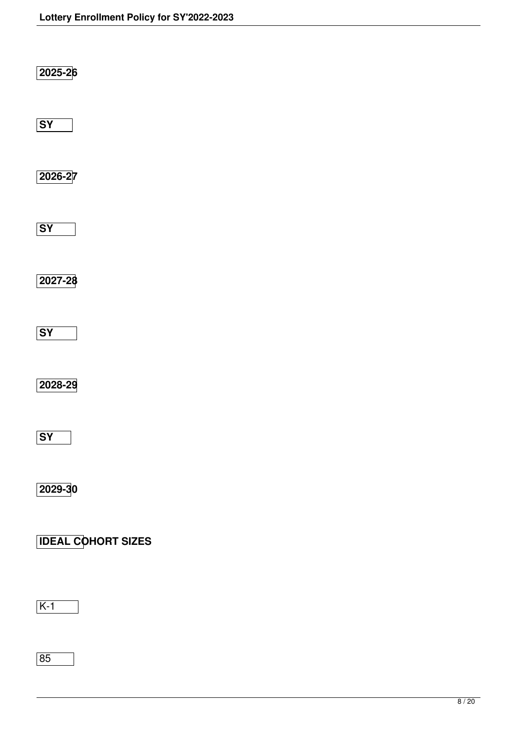| 2025-26                             |  |  |
|-------------------------------------|--|--|
| $\overline{\mathsf{SY}}$            |  |  |
| 2026-27                             |  |  |
| $\overline{\text{SY}}$              |  |  |
| 2027-28                             |  |  |
| $\overline{\text{SY}}$              |  |  |
| 2028-29<br>$\overline{\mathsf{SY}}$ |  |  |
| 2029-30                             |  |  |
| <b>IDEAL COHORT SIZES</b>           |  |  |
| $K-1$                               |  |  |

85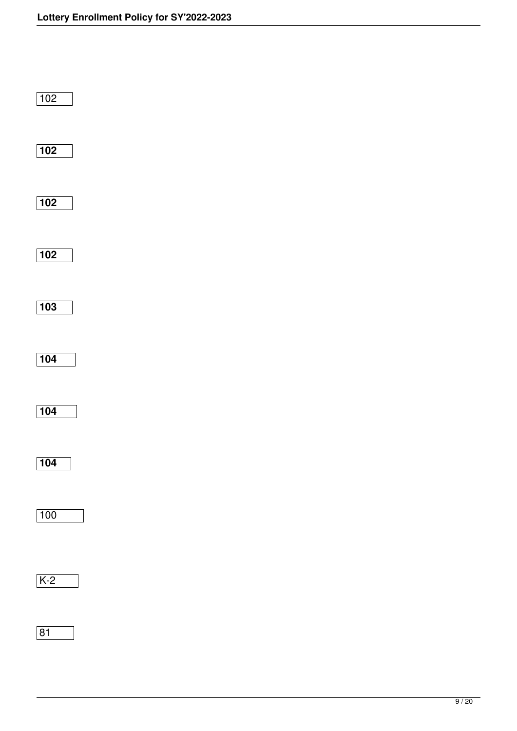| $\boxed{102}$ |  |  |  |
|---------------|--|--|--|
| $\boxed{102}$ |  |  |  |
| $\boxed{102}$ |  |  |  |
| $\boxed{102}$ |  |  |  |
| $\boxed{103}$ |  |  |  |
| $\boxed{104}$ |  |  |  |
| $\boxed{104}$ |  |  |  |
| $\boxed{104}$ |  |  |  |
| 100           |  |  |  |
| $K-2$         |  |  |  |
| $\boxed{81}$  |  |  |  |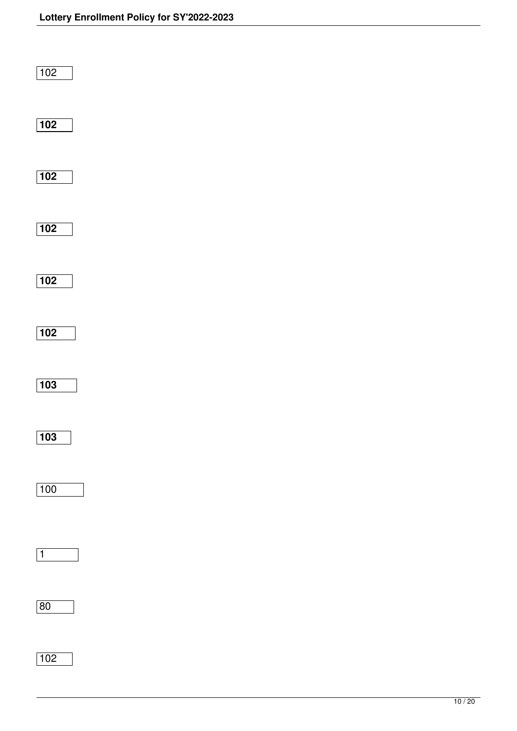| $\boxed{102}$    |  |  |  |
|------------------|--|--|--|
| $\boxed{102}$    |  |  |  |
| $\boxed{102}$    |  |  |  |
| $\boxed{102}$    |  |  |  |
| $\boxed{102}$    |  |  |  |
| $\boxed{102}$    |  |  |  |
| $\boxed{103}$    |  |  |  |
| $\overline{103}$ |  |  |  |
| 100              |  |  |  |
| $\boxed{1}$      |  |  |  |
| 80               |  |  |  |
| $\boxed{102}$    |  |  |  |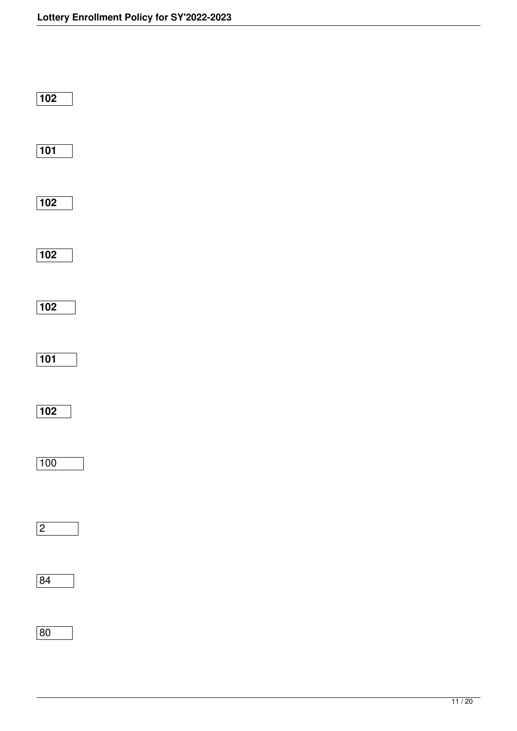| $\sqrt{102}$  |  |  |  |
|---------------|--|--|--|
| $\boxed{101}$ |  |  |  |
| $\boxed{102}$ |  |  |  |
| $\boxed{102}$ |  |  |  |
| $\boxed{102}$ |  |  |  |
| $\boxed{101}$ |  |  |  |
| $\boxed{102}$ |  |  |  |
| 100           |  |  |  |
| $\boxed{2}$   |  |  |  |
| $\boxed{84}$  |  |  |  |
| 80            |  |  |  |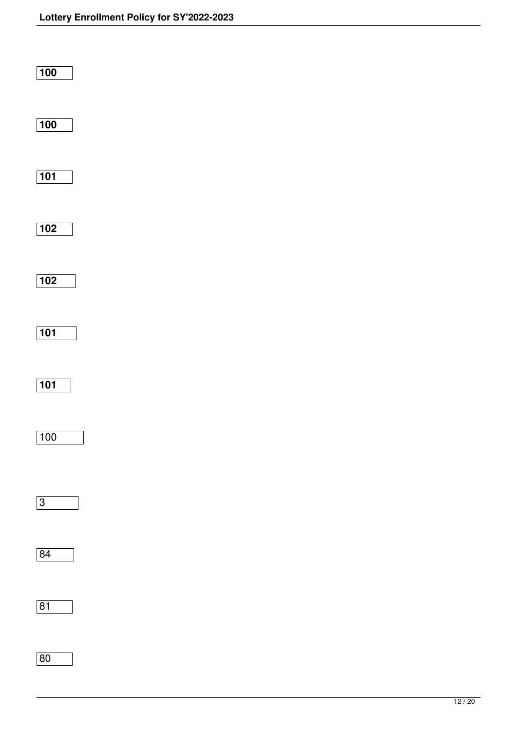| $\boxed{100}$ |  |  |  |
|---------------|--|--|--|
| $\boxed{100}$ |  |  |  |
| $\boxed{101}$ |  |  |  |
| $\boxed{102}$ |  |  |  |
| $\boxed{102}$ |  |  |  |
| $\boxed{101}$ |  |  |  |
| $\boxed{101}$ |  |  |  |
| 100           |  |  |  |
| $\boxed{3}$   |  |  |  |
| 84            |  |  |  |
| $\boxed{81}$  |  |  |  |
| $\boxed{80}$  |  |  |  |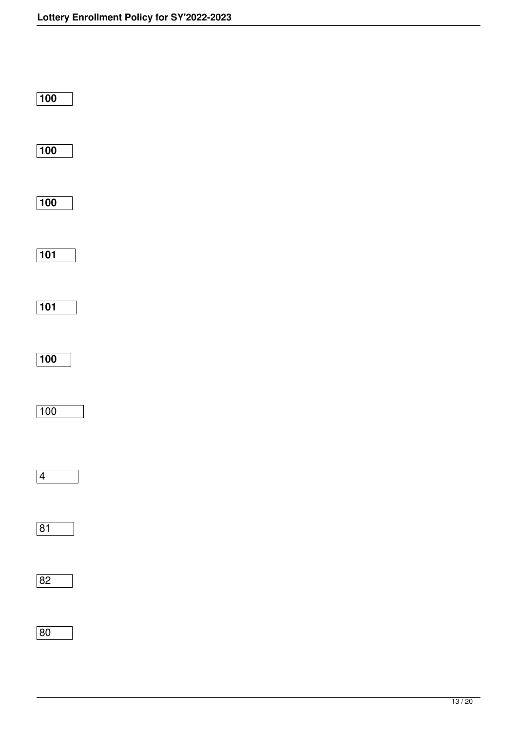| $\overline{100}$  |  |  |
|-------------------|--|--|
| $\boxed{100}$     |  |  |
| $\boxed{100}$     |  |  |
| $\boxed{101}$     |  |  |
| $\boxed{101}$     |  |  |
| $\boxed{100}$     |  |  |
| $\frac{100}{100}$ |  |  |
| $\sqrt{4}$        |  |  |
| 81                |  |  |
| 82                |  |  |
| 80                |  |  |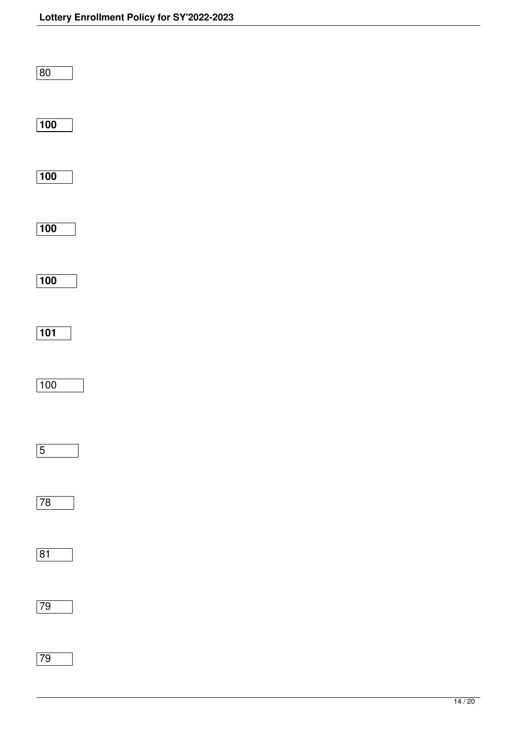| $\boxed{80}$      |  |  |  |
|-------------------|--|--|--|
| $\boxed{100}$     |  |  |  |
| $\boxed{100}$     |  |  |  |
| $\boxed{100}$     |  |  |  |
| $\boxed{100}$     |  |  |  |
| $\boxed{101}$     |  |  |  |
| $\frac{100}{100}$ |  |  |  |
| $\boxed{5}$<br>┑  |  |  |  |
| 78                |  |  |  |
| $\boxed{81}$      |  |  |  |
| 79                |  |  |  |
| 79                |  |  |  |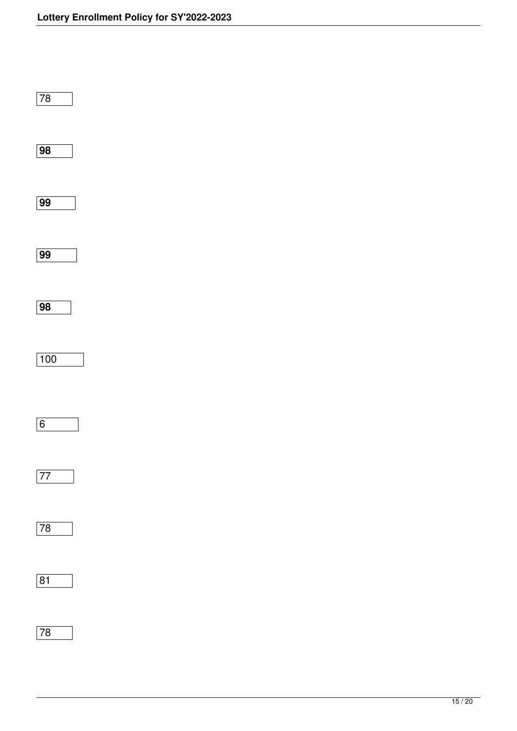| $\overline{78}$   |  |  |  |
|-------------------|--|--|--|
| $\overline{98}$   |  |  |  |
| $\overline{99}$   |  |  |  |
| $\overline{99}$   |  |  |  |
| $\overline{98}$   |  |  |  |
| $\frac{100}{100}$ |  |  |  |
| 6                 |  |  |  |
| $\boxed{77}$      |  |  |  |
| $\boxed{78}$      |  |  |  |
| $\boxed{81}$      |  |  |  |
| $\overline{78}$   |  |  |  |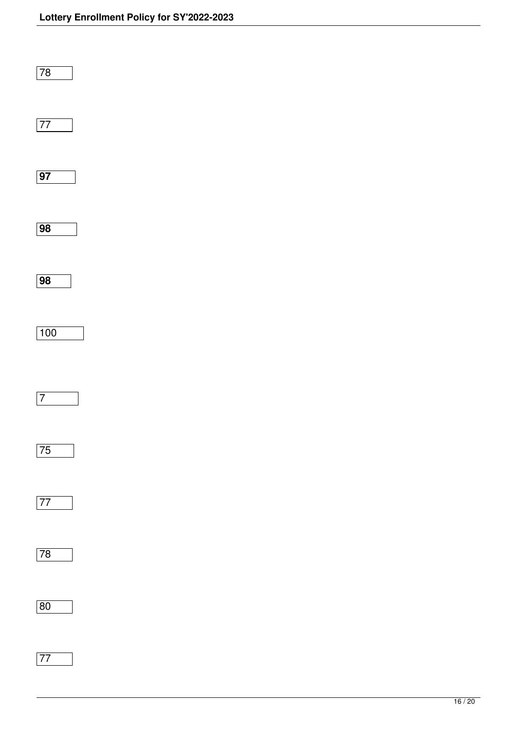| $\overline{78}$ |  |  |
|-----------------|--|--|
| $\overline{77}$ |  |  |
| $\overline{97}$ |  |  |
| $\overline{98}$ |  |  |
| $\overline{98}$ |  |  |
| 100             |  |  |
| $\overline{7}$  |  |  |
| $\boxed{75}$    |  |  |
| $\boxed{77}$    |  |  |
| 78              |  |  |
| 80              |  |  |
| $\overline{77}$ |  |  |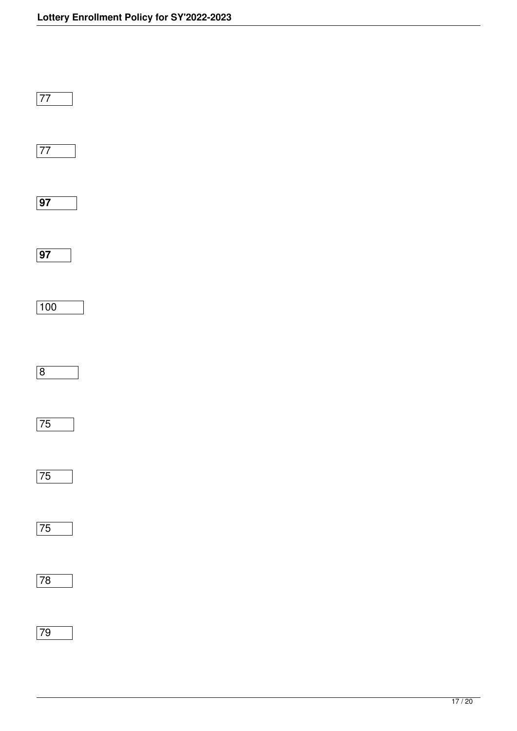| $\overline{77}$                        |  |  |  |
|----------------------------------------|--|--|--|
| $\overline{77}$                        |  |  |  |
| $\overline{97}$                        |  |  |  |
| $\overline{97}$                        |  |  |  |
| 100                                    |  |  |  |
| $\overline{8}$                         |  |  |  |
| $\overline{75}$                        |  |  |  |
| 75<br>L<br>$\sim$ $\sim$ $\sim$ $\sim$ |  |  |  |
| 75                                     |  |  |  |
| 78                                     |  |  |  |
| $\overline{79}$                        |  |  |  |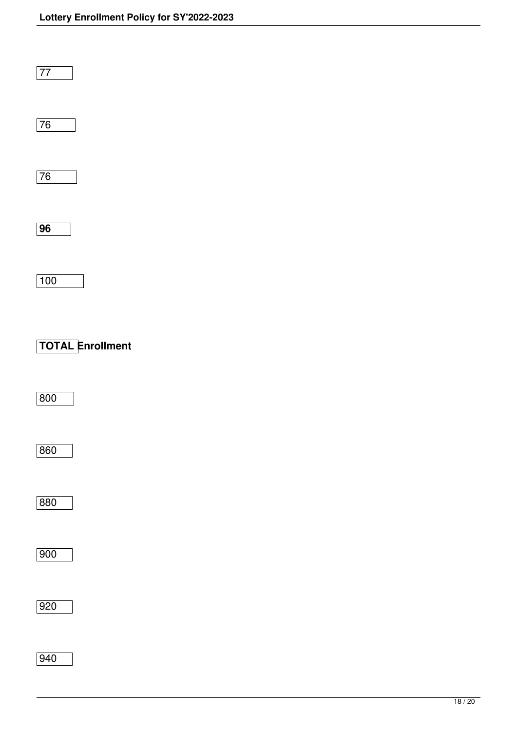| $\overline{77}$         |
|-------------------------|
| $\overline{76}$         |
| $\overline{76}$         |
| $\overline{96}$         |
| 100                     |
| <b>TOTAL Enrollment</b> |
| 800                     |
| 860                     |
|                         |
| 880                     |
| $\overline{900}$        |
| 920                     |